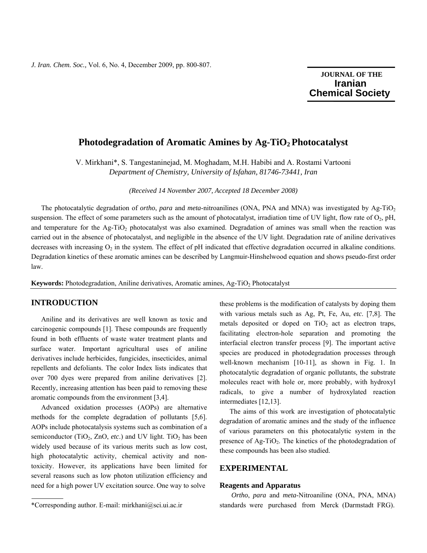*J. Iran. Chem. Soc.,* Vol. 6, No. 4, December 2009, pp. 800-807.

# **JOURNAL OF THE Iranian Chemical Society**

٦

## Photodegradation of Aromatic Amines by Ag-TiO<sub>2</sub> Photocatalyst

V. Mirkhani\*, S. Tangestaninejad, M. Moghadam, M.H. Habibi and A. Rostami Vartooni *Department of Chemistry, University of Isfahan, 81746-73441, Iran* 

*(Received 14 November 2007, Accepted 18 December 2008)* 

The photocatalytic degradation of *ortho*, *para* and *meta*-nitroanilines (ONA, PNA and MNA) was investigated by Ag-TiO2 suspension. The effect of some parameters such as the amount of photocatalyst, irradiation time of UV light, flow rate of  $O_2$ , pH, and temperature for the Ag-TiO<sub>2</sub> photocatalyst was also examined. Degradation of amines was small when the reaction was carried out in the absence of photocatalyst, and negligible in the absence of the UV light. Degradation rate of aniline derivatives decreases with increasing  $O_2$  in the system. The effect of pH indicated that effective degradation occurred in alkaline conditions. Degradation kinetics of these aromatic amines can be described by Langmuir-Hinshelwood equation and shows pseudo-first order law.

**Keywords:** Photodegradation, Aniline derivatives, Aromatic amines, Ag-TiO<sub>2</sub> Photocatalyst

## **INTRODUCTION**

 Aniline and its derivatives are well known as toxic and carcinogenic compounds [1]. These compounds are frequently found in both effluents of waste water treatment plants and surface water. Important agricultural uses of aniline derivatives include herbicides, fungicides, insecticides, animal repellents and defoliants. The color Index lists indicates that over 700 dyes were prepared from aniline derivatives [2]. Recently, increasing attention has been paid to removing these aromatic compounds from the environment [3,4].

 Advanced oxidation processes (AOPs) are alternative methods for the complete degradation of pollutants [5,6]. AOPs include photocatalysis systems such as combination of a semiconductor (TiO<sub>2</sub>, ZnO, *etc.*) and UV light. TiO<sub>2</sub> has been widely used because of its various merits such as low cost, high photocatalytic activity, chemical activity and nontoxicity. However, its applications have been limited for several reasons such as low photon utilization efficiency and need for a high power UV excitation source. One way to solve

these problems is the modification of catalysts by doping them with various metals such as Ag, Pt, Fe, Au, *etc*. [7,8]. The metals deposited or doped on  $TiO<sub>2</sub>$  act as electron traps, facilitating electron-hole separation and promoting the interfacial electron transfer process [9]. The important active species are produced in photodegradation processes through well-known mechanism [10-11], as shown in Fig. 1. In photocatalytic degradation of organic pollutants, the substrate molecules react with hole or, more probably, with hydroxyl radicals, to give a number of hydroxylated reaction intermediates [12,13].

 The aims of this work are investigation of photocatalytic degradation of aromatic amines and the study of the influence of various parameters on this photocatalytic system in the presence of  $Ag-TiO<sub>2</sub>$ . The kinetics of the photodegradation of these compounds has been also studied.

## **EXPERIMENTAL**

#### **Reagents and Apparatus**

 *Ortho*, *para* and *meta*-Nitroaniline (ONA, PNA, MNA) standards were purchased from Merck (Darmstadt FRG).

<sup>\*</sup>Corresponding author. E-mail: mirkhani@sci.ui.ac.ir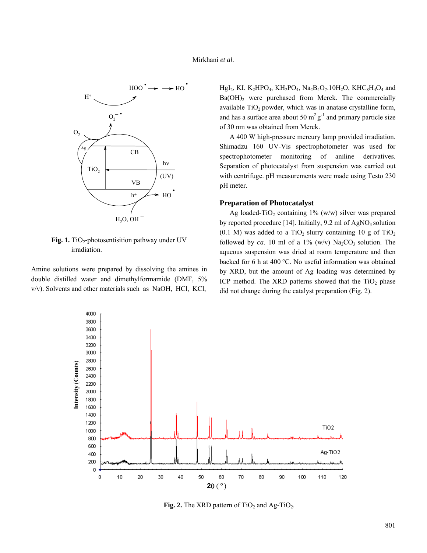

**Fig. 1.** TiO<sub>2</sub>-photosentisition pathway under UV irradiation.

Amine solutions were prepared by dissolving the amines in double distilled water and dimethylformamide (DMF, 5% v/v). Solvents and other materials such as NaOH, HCl, KCl,

HgI<sub>2</sub>, KI, K<sub>2</sub>HPO<sub>4</sub>, KH<sub>2</sub>PO<sub>4</sub>, Na<sub>2</sub>B<sub>4</sub>O<sub>7</sub>.10H<sub>2</sub>O, KHC<sub>8</sub>H<sub>4</sub>O<sub>4</sub> and  $Ba(OH)<sub>2</sub>$  were purchased from Merck. The commercially available  $TiO<sub>2</sub>$  powder, which was in anatase crystalline form, and has a surface area about 50  $m^2 g^{-1}$  and primary particle size of 30 nm was obtained from Merck.

 A 400 W high-pressure mercury lamp provided irradiation. Shimadzu 160 UV-Vis spectrophotometer was used for spectrophotometer monitoring of aniline derivatives. Separation of photocatalyst from suspension was carried out with centrifuge. pH measurements were made using Testo 230 pH meter.

### **Preparation of Photocatalyst**

Ag loaded-TiO<sub>2</sub> containing  $1\%$  (w/w) silver was prepared by reported procedure [14]. Initially,  $9.2$  ml of AgNO<sub>3</sub> solution (0.1 M) was added to a TiO<sub>2</sub> slurry containing 10 g of TiO<sub>2</sub> followed by *ca*. 10 ml of a 1% (w/v)  $\text{Na}_2\text{CO}_3$  solution. The aqueous suspension was dried at room temperature and then backed for 6 h at 400 °C. No useful information was obtained by XRD, but the amount of Ag loading was determined by ICP method. The XRD patterns showed that the  $TiO<sub>2</sub>$  phase did not change during the catalyst preparation (Fig. 2).



**Fig. 2.** The XRD pattern of  $TiO<sub>2</sub>$  and Ag- $TiO<sub>2</sub>$ .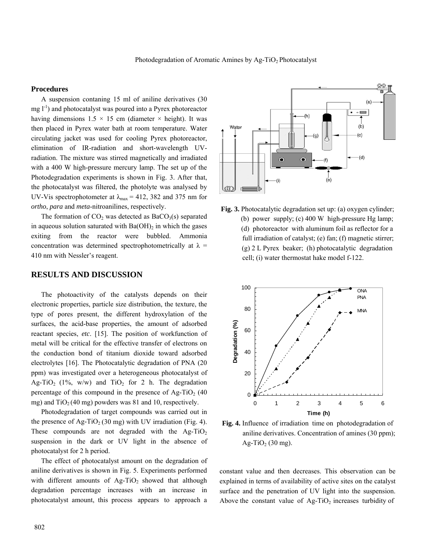### **Procedures**

 A suspension contaning 15 ml of aniline derivatives (30  $mg l^{-1}$ ) and photocatalyst was poured into a Pyrex photoreactor having dimensions  $1.5 \times 15$  cm (diameter  $\times$  height). It was then placed in Pyrex water bath at room temperature. Water circulating jacket was used for cooling Pyrex photoreactor, elimination of IR-radiation and short-wavelength UVradiation. The mixture was stirred magnetically and irradiated with a 400 W high-pressure mercury lamp. The set up of the Photodegradation experiments is shown in Fig. 3. After that, the photocatalyst was filtered, the photolyte was analysed by UV-Vis spectrophotometer at  $\lambda_{\text{max}} = 412$ , 382 and 375 nm for *ortho*, *para* and *meta*-nitroanilines, respectively.

The formation of  $CO<sub>2</sub>$  was detected as BaC $O<sub>3</sub>(s)$  separated in aqueous solution saturated with  $Ba(OH)_2$  in which the gases exiting from the reactor were bubbled. Ammonia concentration was determined spectrophotometrically at  $\lambda$  = 410 nm with Nessler's reagent.

### **RESULTS AND DISCUSSION**

 The photoactivity of the catalysts depends on their electronic properties, particle size distribution, the texture, the type of pores present, the different hydroxylation of the surfaces, the acid-base properties, the amount of adsorbed reactant species, *etc*. [15]. The position of workfunction of metal will be critical for the effective transfer of electrons on the conduction bond of titanium dioxide toward adsorbed electrolytes [16]. The Photocatalytic degradation of PNA (20 ppm) was investigated over a heterogeneous photocatalyst of Ag-TiO<sub>2</sub> (1%, w/w) and TiO<sub>2</sub> for 2 h. The degradation percentage of this compound in the presence of  $Ag-TiO<sub>2</sub>$  (40 mg) and  $TiO<sub>2</sub>(40$  mg) powders was 81 and 10, respectively.

 Photodegradation of target compounds was carried out in the presence of Ag-TiO<sub>2</sub> (30 mg) with UV irradiation (Fig. 4). These compounds are not degraded with the  $\text{Ag-TiO}_2$ suspension in the dark or UV light in the absence of photocatalyst for 2 h period.

 The effect of photocatalyst amount on the degradation of aniline derivatives is shown in Fig. 5. Experiments performed with different amounts of  $Ag-TiO<sub>2</sub>$  showed that although degradation percentage increases with an increase in photocatalyst amount, this process appears to approach a



**Fig. 3.** Photocatalytic degradation set up: (a) oxygen cylinder; (b) power supply; (c) 400 W high-pressure Hg lamp; (d) photoreactor with aluminum foil as reflector for a full irradiation of catalyst; (e) fan; (f) magnetic stirrer; (g) 2 L Pyrex beaker; (h) photocatalytic degradation cell; (i) water thermostat hake model f-122.



**Fig. 4.** Influence of irradiation time on photodegradation of aniline derivatives. Concentration of amines (30 ppm); Ag-TiO<sub>2</sub> (30 mg).

constant value and then decreases. This observation can be explained in terms of availability of active sites on the catalyst surface and the penetration of UV light into the suspension. Above the constant value of  $\text{Ag-TiO}_2$  increases turbidity of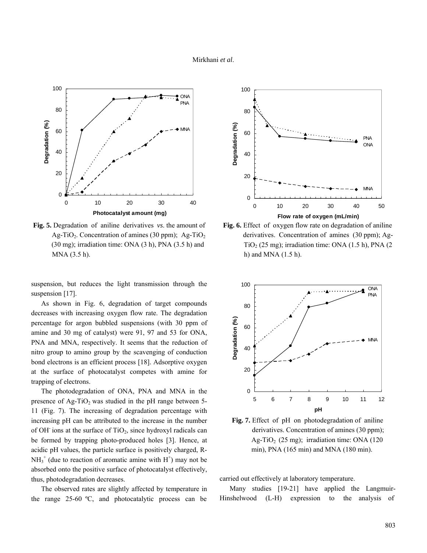#### Mirkhani *et al*.



**Fig. 5.** Degradation of aniline derivatives *vs*. the amount of Ag-TiO<sub>2</sub>. Concentration of amines (30 ppm); Ag-TiO<sub>2</sub>  $(30 \text{ mg})$ ; irradiation time: ONA  $(3 \text{ h})$ , PNA  $(3.5 \text{ h})$  and MNA (3.5 h).

suspension, but reduces the light transmission through the suspension [17].

 As shown in Fig. 6, degradation of target compounds decreases with increasing oxygen flow rate. The degradation percentage for argon bubbled suspensions (with 30 ppm of amine and 30 mg of catalyst) were 91, 97 and 53 for ONA, PNA and MNA, respectively. It seems that the reduction of nitro group to amino group by the scavenging of conduction bond electrons is an efficient process [18]. Adsorptive oxygen at the surface of photocatalyst competes with amine for trapping of electrons.

 The photodegradation of ONA, PNA and MNA in the presence of  $Ag-TiO<sub>2</sub>$  was studied in the pH range between 5-11 (Fig. 7). The increasing of degradation percentage with increasing pH can be attributed to the increase in the number of OH<sup>-</sup> ions at the surface of  $TiO<sub>2</sub>$ , since hydroxyl radicals can be formed by trapping photo-produced holes [3]. Hence, at acidic pH values, the particle surface is positively charged, R- $NH_3^+$  (due to reaction of aromatic amine with  $H^+$ ) may not be absorbed onto the positive surface of photocatalyst effectively, thus, photodegradation decreases.

 The observed rates are slightly affected by temperature in the range 25-60 ºC, and photocatalytic process can be







**Fig. 7.** Effect of pH on photodegradation of aniline derivatives. Concentration of amines (30 ppm); Ag-TiO<sub>2</sub> (25 mg); irradiation time: ONA (120) min), PNA (165 min) and MNA (180 min).

carried out effectively at laboratory temperature.

Many studies [19-21] have applied the Langmuir-Hinshelwood (L-H) expression to the analysis of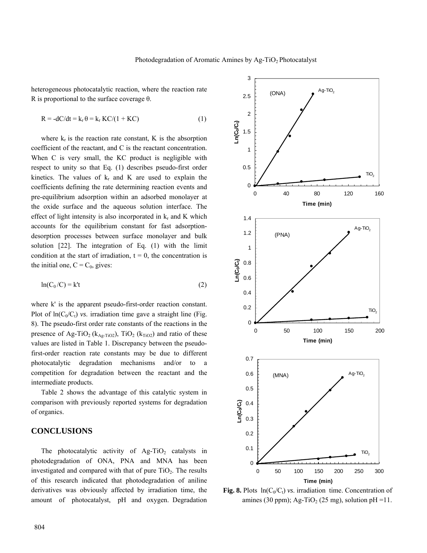heterogeneous photocatalytic reaction, where the reaction rate R is proportional to the surface coverage  $\theta$ .

$$
R = -dC/dt = k_r \theta = k_r KC/(1 + KC)
$$
 (1)

where  $k_r$  is the reaction rate constant, K is the absorption coefficient of the reactant, and C is the reactant concentration. When C is very small, the KC product is negligible with respect to unity so that Eq. (1) describes pseudo-first order kinetics. The values of  $k_r$  and K are used to explain the coefficients defining the rate determining reaction events and pre-equilibrium adsorption within an adsorbed monolayer at the oxide surface and the aqueous solution interface. The effect of light intensity is also incorporated in  $k_r$  and K which accounts for the equilibrium constant for fast adsorptiondesorption processes between surface monolayer and bulk solution [22]. The integration of Eq. (1) with the limit condition at the start of irradiation,  $t = 0$ , the concentration is the initial one,  $C = C_0$ , gives:

$$
\ln(C_0/C) = k't \tag{2}
$$

where k' is the apparent pseudo-first-order reaction constant. Plot of  $ln(C_0/C_t)$  *vs.* irradiation time gave a straight line (Fig. 8). The pseudo-first order rate constants of the reactions in the presence of Ag-TiO<sub>2</sub> ( $k_{\text{Ag-TiO2}}$ ), TiO<sub>2</sub> ( $k_{\text{TiO2}}$ ) and ratio of these values are listed in Table 1. Discrepancy between the pseudofirst-order reaction rate constants may be due to different photocatalytic degradation mechanisms and/or to a competition for degradation between the reactant and the intermediate products.

 Table 2 shows the advantage of this catalytic system in comparison with previously reported systems for degradation of organics.

## **CONCLUSIONS**

The photocatalytic activity of  $Ag-TiO<sub>2</sub>$  catalysts in photodegradation of ONA, PNA and MNA has been investigated and compared with that of pure  $TiO<sub>2</sub>$ . The results of this research indicated that photodegradation of aniline derivatives was obviously affected by irradiation time, the amount of photocatalyst, pH and oxygen. Degradation



**Fig. 8.** Plots  $ln(C_0/C_t)$  *vs.* irradiation time. Concentration of amines (30 ppm); Ag-TiO<sub>2</sub> (25 mg), solution pH =11.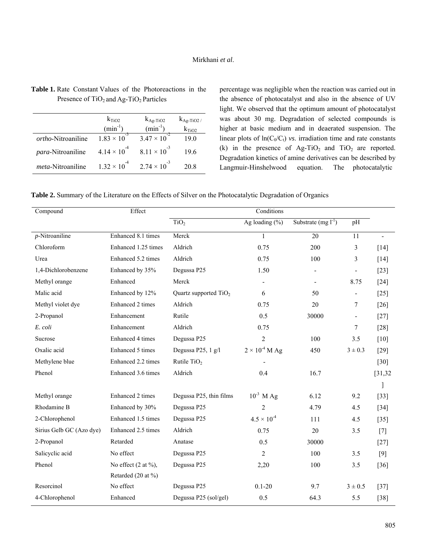|                            | $k_{TiO2}$            | $k_{\text{Ag-TiO2}}$  | $k_{Ag-TiO2}$ |
|----------------------------|-----------------------|-----------------------|---------------|
|                            | $(min^{-1})$          | $(min^{-1})$          | $k_{TiO2}$    |
| <i>ortho</i> -Nitroaniline | $1.83 \times 10^{-3}$ | $3.47 \times 10^{-7}$ | 19.0          |
| <i>para</i> -Nitroaniline  | $4.14 \times 10^{-4}$ | $8.11 \times 10^{-3}$ | 196           |
| <i>meta</i> -Nitroaniline  | $1.32 \times 10^{-4}$ | $2.74 \times 10^{-3}$ | 20.8          |

**Table 1.** Rate Constant Values of the Photoreactions in the Presence of TiO<sub>2</sub> and Ag-TiO<sub>2</sub> Particles

percentage was negligible when the reaction was carried out in the absence of photocatalyst and also in the absence of UV light. We observed that the optimum amount of photocatalyst was about 30 mg. Degradation of selected compounds is higher at basic medium and in deaerated suspension. The linear plots of  $ln(C_0/C_t)$  *vs.* irradiation time and rate constants (k) in the presence of  $Ag-TiO<sub>2</sub>$  and  $TiO<sub>2</sub>$  are reported. Degradation kinetics of amine derivatives can be described by Langmuir-Hinshelwood equation. The photocatalytic

|  |  |  |  | Table 2. Summary of the Literature on the Effects of Silver on the Photocatalytic Degradation of Organics |
|--|--|--|--|-----------------------------------------------------------------------------------------------------------|
|--|--|--|--|-----------------------------------------------------------------------------------------------------------|

| Compound                 | Effect                           | Conditions              |                                      |                          |                          |          |
|--------------------------|----------------------------------|-------------------------|--------------------------------------|--------------------------|--------------------------|----------|
|                          |                                  | TiO <sub>2</sub>        | Ag loading $(\% )$                   | Substrate $(mg l^{-1})$  | pH                       |          |
| $p$ -Nitroaniline        | Enhanced 8.1 times               | Merck                   | $\mathbf{1}$                         | 20                       | 11                       |          |
| Chloroform               | Enhanced 1.25 times              | Aldrich                 | 0.75                                 | 200                      | 3                        | $[14]$   |
| Urea                     | Enhanced 5.2 times               | Aldrich                 | 0.75                                 | 100                      | 3                        | $[14]$   |
| 1,4-Dichlorobenzene      | Enhanced by 35%                  | Degussa P25             | 1.50                                 | $\overline{\phantom{a}}$ | $\overline{\phantom{a}}$ | $[23]$   |
| Methyl orange            | Enhanced                         | Merck                   |                                      |                          | 8.75                     | $[24]$   |
| Malic acid               | Enhanced by 12%                  | Quartz supported $TiO2$ | 6                                    | 50                       | $\blacksquare$           | $[25]$   |
| Methyl violet dye        | Enhanced 2 times                 | Aldrich                 | 0.75                                 | 20                       | 7                        | $[26]$   |
| 2-Propanol               | Enhancement                      | Rutile                  | 0.5                                  | 30000                    | $\overline{\phantom{a}}$ | $[27]$   |
| E. coli                  | Enhancement                      | Aldrich                 | 0.75                                 |                          | 7                        | $[28]$   |
| Sucrose                  | Enhanced 4 times                 | Degussa P25             | 2                                    | 100                      | 3.5                      | [10]     |
| Oxalic acid              | Enhanced 5 times                 | Degussa P25, 1 g/l      | $2\times10^{\text{-}4}\,\text{M Ag}$ | 450                      | $3 \pm 0.3$              | $[29]$   |
| Methylene blue           | Enhanced 2.2 times               | Rutile $TiO2$           |                                      |                          |                          | $[30]$   |
| Phenol                   | Enhanced 3.6 times               | Aldrich                 | 0.4                                  | 16.7                     |                          | [31, 32] |
|                          |                                  |                         |                                      |                          |                          |          |
| Methyl orange            | Enhanced 2 times                 | Degussa P25, thin films | $10^{-3}$ M Ag                       | 6.12                     | 9.2                      | $[33]$   |
| Rhodamine B              | Enhanced by 30%                  | Degussa P25             | $\overline{2}$                       | 4.79                     | 4.5                      | $[34]$   |
| 2-Chlorophenol           | Enhanced 1.5 times               | Degussa P25             | $4.5 \times 10^{-4}$                 | 111                      | 4.5                      | $[35]$   |
| Sirius Gelb GC (Azo dye) | Enhanced 2.5 times               | Aldrich                 | 0.75                                 | 20                       | 3.5                      | [7]      |
| 2-Propanol               | Retarded                         | Anatase                 | 0.5                                  | 30000                    |                          | $[27]$   |
| Salicyclic acid          | No effect                        | Degussa P25             | 2                                    | 100                      | 3.5                      | $[9]$    |
| Phenol                   | No effect $(2 \text{ at } \%)$ , | Degussa P25             | 2,20                                 | 100                      | 3.5                      | $[36]$   |
|                          | Retarded (20 at %)               |                         |                                      |                          |                          |          |
| Resorcinol               | No effect                        | Degussa P25             | $0.1 - 20$                           | 9.7                      | $3 \pm 0.5$              | $[37]$   |
| 4-Chlorophenol           | Enhanced                         | Degussa P25 (sol/gel)   | 0.5                                  | 64.3                     | 5.5                      | $[38]$   |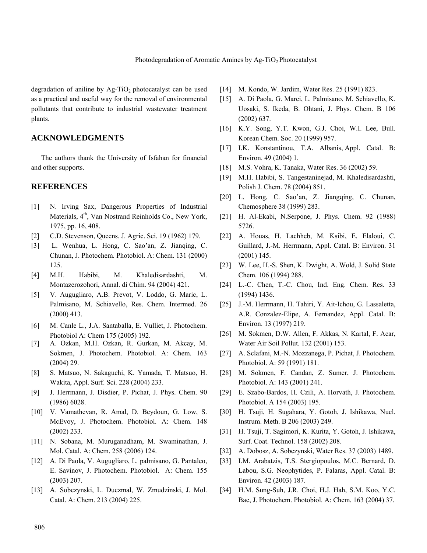degradation of aniline by  $Ag-TiO<sub>2</sub>$  photocatalyst can be used as a practical and useful way for the removal of environmental pollutants that contribute to industrial wastewater treatment plants.

## **ACKNOWLEDGMENTS**

 The authors thank the University of Isfahan for financial and other supports.

### **REFERENCES**

- [1] N. Irving Sax, Dangerous Properties of Industrial Materials, 4<sup>th</sup>, Van Nostrand Reinholds Co., New York, 1975, pp. 16, 408.
- [2] C.D. Stevenson, Queens. J. Agric. Sci. 19 (1962) 179.
- [3] L. Wenhua, L. Hong, C. Sao'an, Z. Jianqing, C. Chunan, J. Photochem. Photobiol. A: Chem. 131 (2000) 125.
- [4] M.H. Habibi, M. Khaledisardashti, M. Montazerozohori, Annal. di Chim. 94 (2004) 421.
- [5] V. Augugliaro, A.B. Prevot, V. Loddo, G. Maric, L. Palmisano, M. Schiavello, Res. Chem. Intermed. 26 (2000) 413.
- [6] M. Canle L., J.A. Santaballa, E. Vulliet, J. Photochem. Photobiol A: Chem 175 (2005) 192.
- [7] A. Ozkan, M.H. Ozkan, R. Gurkan, M. Akcay, M. Sokmen, J. Photochem. Photobiol. A: Chem. 163 (2004) 29.
- [8] S. Matsuo, N. Sakaguchi, K. Yamada, T. Matsuo, H. Wakita, Appl. Surf. Sci. 228 (2004) 233.
- [9] J. Herrmann, J. Disdier, P. Pichat, J. Phys. Chem. 90 (1986) 6028.
- [10] V. Vamathevan, R. Amal, D. Beydoun, G. Low, S. McEvoy, J. Photochem. Photobiol. A: Chem. 148 (2002) 233.
- [11] N. Sobana, M. Muruganadham, M. Swaminathan, J. Mol. Catal. A: Chem. 258 (2006) 124.
- [12] A. Di Paola, V. Augugliaro, L. palmisano, G. Pantaleo, E. Savinov, J. Photochem. Photobiol. A: Chem. 155 (2003) 207.
- [13] A. Sobczynski, L. Duczmal, W. Zmudzinski, J. Mol. Catal. A: Chem. 213 (2004) 225.
- [14] M. Kondo, W. Jardim, Water Res. 25 (1991) 823.
- [15] A. Di Paola, G. Marci, L. Palmisano, M. Schiavello, K. Uosaki, S. Ikeda, B. Ohtani, J. Phys. Chem. B 106 (2002) 637.
- [16] K.Y. Song, Y.T. Kwon, G.J. Choi, W.I. Lee, Bull. Korean Chem. Soc. 20 (1999) 957.
- [17] I.K. Konstantinou, T.A. Albanis, Appl. Catal. B: Environ. 49 (2004) 1.
- [18] M.S. Vohra, K. Tanaka, Water Res. 36 (2002) 59.
- [19] M.H. Habibi, S. Tangestaninejad, M. Khaledisardashti, Polish J. Chem. 78 (2004) 851.
- [20] L. Hong, C. Sao'an, Z. Jiangqing, C. Chunan, Chemosphere 38 (1999) 283.
- [21] H. Al-Ekabi, N.Serpone, J. Phys. Chem. 92 (1988) 5726.
- [22] A. Houas, H. Lachheb, M. Ksibi, E. Elaloui, C. Guillard, J.-M. Herrmann, Appl. Catal. B: Environ. 31 (2001) 145.
- [23] W. Lee, H.-S. Shen, K. Dwight, A. Wold, J. Solid State Chem. 106 (1994) 288.
- [24] L.-C. Chen, T.-C. Chou, Ind. Eng. Chem. Res. 33 (1994) 1436.
- [25] J.-M. Herrmann, H. Tahiri, Y. Ait-Ichou, G. Lassaletta, A.R. Conzalez-Elipe, A. Fernandez, Appl. Catal. B: Environ. 13 (1997) 219.
- [26] M. Sokmen, D.W. Allen, F. Akkas, N. Kartal, F. Acar, Water Air Soil Pollut. 132 (2001) 153.
- [27] A. Sclafani, M.-N. Mozzanega, P. Pichat, J. Photochem. Photobiol. A: 59 (1991) 181.
- [28] M. Sokmen, F. Candan, Z. Sumer, J. Photochem. Photobiol. A: 143 (2001) 241.
- [29] E. Szabo-Bardos, H. Czili, A. Horvath, J. Photochem. Photobiol. A 154 (2003) 195.
- [30] H. Tsuji, H. Sugahara, Y. Gotoh, J. Ishikawa, Nucl. Instrum. Meth. B 206 (2003) 249.
- [31] H. Tsuji, T. Sagimori, K. Kurita, Y. Gotoh, J. Ishikawa, Surf. Coat. Technol. 158 (2002) 208.
- [32] A. Dobosz, A. Sobczynski, Water Res. 37 (2003) 1489.
- [33] I.M. Arabatzis, T.S. Stergiopoulos, M.C. Bernard, D. Labou, S.G. Neophytides, P. Falaras, Appl. Catal. B: Environ. 42 (2003) 187.
- [34] H.M. Sung-Suh, J.R. Choi, H.J. Hah, S.M. Koo, Y.C. Bae, J. Photochem. Photobiol. A: Chem. 163 (2004) 37.